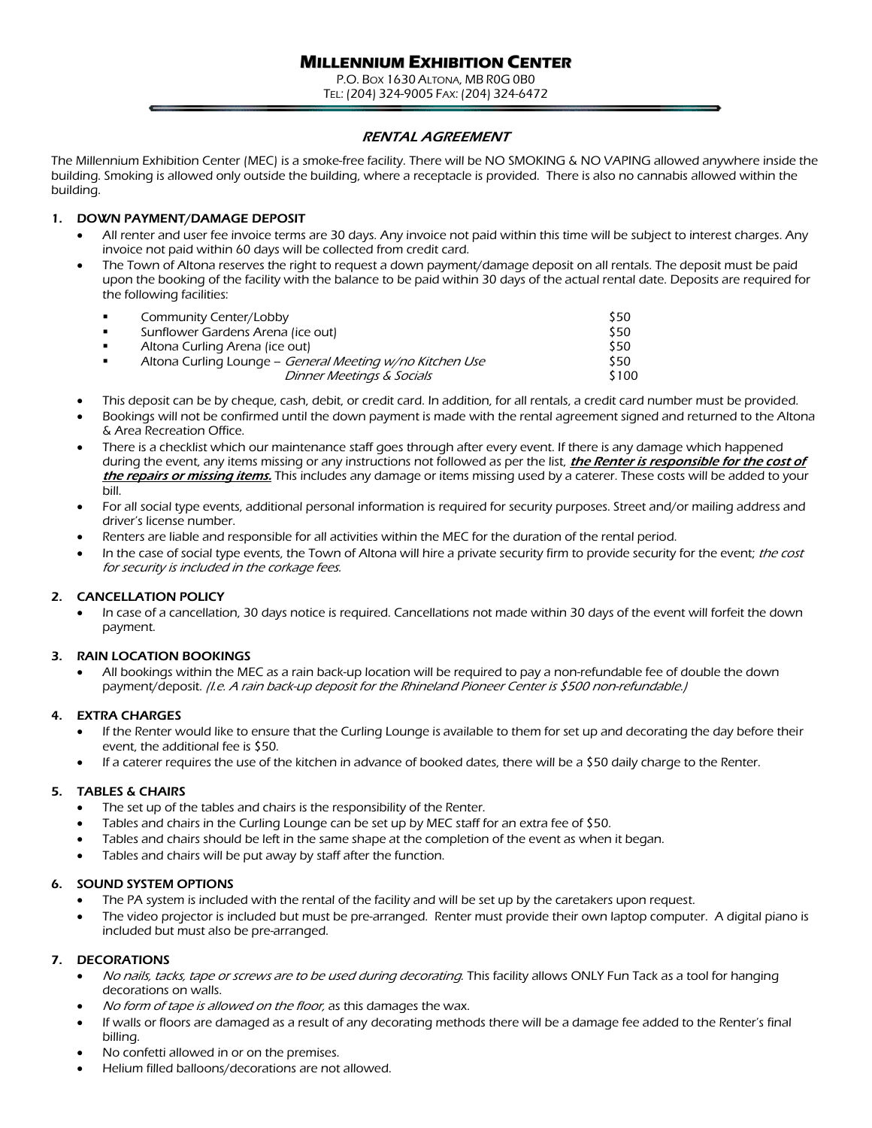# **MILLENNIUM EXHIBITION CENTER**

P.O. BOX 1630 ALTONA, MB R0G 0B0 TEL: (204) 324-9005 FAX: (204) 324-6472

### RENTAL AGREEMENT

The Millennium Exhibition Center (MEC) is a smoke-free facility. There will be NO SMOKING & NO VAPING allowed anywhere inside the building. Smoking is allowed only outside the building, where a receptacle is provided. There is also no cannabis allowed within the building.

### 1. DOWN PAYMENT/DAMAGE DEPOSIT

- All renter and user fee invoice terms are 30 days. Any invoice not paid within this time will be subject to interest charges. Any invoice not paid within 60 days will be collected from credit card.
- The Town of Altona reserves the right to request a down payment/damage deposit on all rentals. The deposit must be paid upon the booking of the facility with the balance to be paid within 30 days of the actual rental date. Deposits are required for the following facilities:

| Community Center/Lobby                                   | \$50  |
|----------------------------------------------------------|-------|
| Sunflower Gardens Arena (ice out)                        | \$50  |
| Altona Curling Arena (ice out)                           | \$50  |
| Altona Curling Lounge – General Meeting w/no Kitchen Use | \$50. |
| Dinner Meetings & Socials                                | \$100 |

- This deposit can be by cheque, cash, debit, or credit card. In addition, for all rentals, a credit card number must be provided.
- Bookings will not be confirmed until the down payment is made with the rental agreement signed and returned to the Altona & Area Recreation Office.
- There is a checklist which our maintenance staff goes through after every event. If there is any damage which happened during the event, any items missing or any instructions not followed as per the list, *the Renter is responsible for the cost of* the repairs or missing items. This includes any damage or items missing used by a caterer. These costs will be added to your bill.
- For all social type events, additional personal information is required for security purposes. Street and/or mailing address and driver's license number.
- Renters are liable and responsible for all activities within the MEC for the duration of the rental period.
- In the case of social type events, the Town of Altona will hire a private security firm to provide security for the event; the cost for security is included in the corkage fees.

### 2. CANCELLATION POLICY

• In case of a cancellation, 30 days notice is required. Cancellations not made within 30 days of the event will forfeit the down payment.

### 3. RAIN LOCATION BOOKINGS

• All bookings within the MEC as a rain back-up location will be required to pay a non-refundable fee of double the down payment/deposit. (I.e. A rain back-up deposit for the Rhineland Pioneer Center is \$500 non-refundable.)

### 4. EXTRA CHARGES

- If the Renter would like to ensure that the Curling Lounge is available to them for set up and decorating the day before their event, the additional fee is \$50.
- If a caterer requires the use of the kitchen in advance of booked dates, there will be a \$50 daily charge to the Renter.

### 5. TABLES & CHAIRS

- The set up of the tables and chairs is the responsibility of the Renter.
- Tables and chairs in the Curling Lounge can be set up by MEC staff for an extra fee of \$50.
- Tables and chairs should be left in the same shape at the completion of the event as when it began.
- Tables and chairs will be put away by staff after the function.

### 6. SOUND SYSTEM OPTIONS

- The PA system is included with the rental of the facility and will be set up by the caretakers upon request.
- The video projector is included but must be pre-arranged. Renter must provide their own laptop computer. A digital piano is included but must also be pre-arranged.

### 7. DECORATIONS

- No nails, tacks, tape or screws are to be used during decorating. This facility allows ONLY Fun Tack as a tool for hanging decorations on walls.
- No form of tape is allowed on the floor, as this damages the wax.
- If walls or floors are damaged as a result of any decorating methods there will be a damage fee added to the Renter's final billing.
- No confetti allowed in or on the premises.
- Helium filled balloons/decorations are not allowed.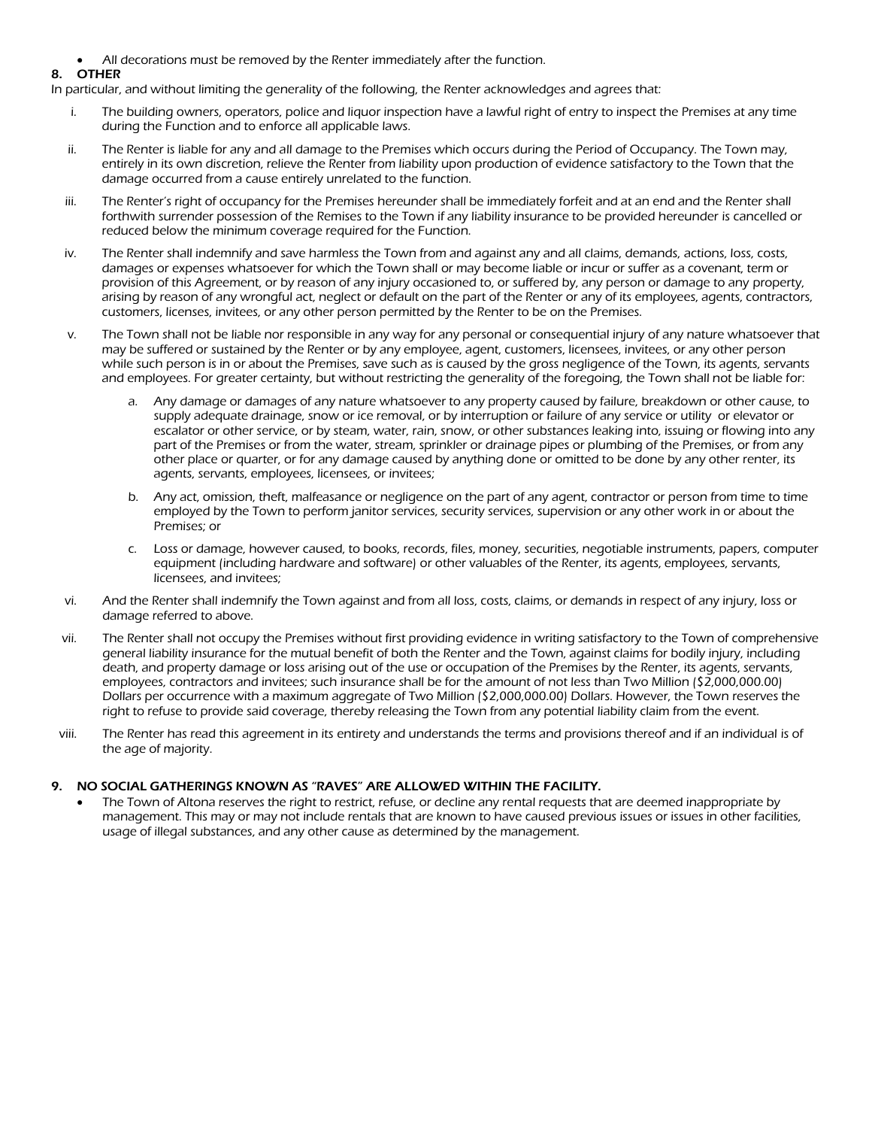• All decorations must be removed by the Renter immediately after the function.

### 8. OTHER

In particular, and without limiting the generality of the following, the Renter acknowledges and agrees that:

- i. The building owners, operators, police and liquor inspection have a lawful right of entry to inspect the Premises at any time during the Function and to enforce all applicable laws.
- ii. The Renter is liable for any and all damage to the Premises which occurs during the Period of Occupancy. The Town may, entirely in its own discretion, relieve the Renter from liability upon production of evidence satisfactory to the Town that the damage occurred from a cause entirely unrelated to the function.
- iii. The Renter's right of occupancy for the Premises hereunder shall be immediately forfeit and at an end and the Renter shall forthwith surrender possession of the Remises to the Town if any liability insurance to be provided hereunder is cancelled or reduced below the minimum coverage required for the Function.
- iv. The Renter shall indemnify and save harmless the Town from and against any and all claims, demands, actions, loss, costs, damages or expenses whatsoever for which the Town shall or may become liable or incur or suffer as a covenant, term or provision of this Agreement, or by reason of any injury occasioned to, or suffered by, any person or damage to any property, arising by reason of any wrongful act, neglect or default on the part of the Renter or any of its employees, agents, contractors, customers, licenses, invitees, or any other person permitted by the Renter to be on the Premises.
- v. The Town shall not be liable nor responsible in any way for any personal or consequential injury of any nature whatsoever that may be suffered or sustained by the Renter or by any employee, agent, customers, licensees, invitees, or any other person while such person is in or about the Premises, save such as is caused by the gross negligence of the Town, its agents, servants and employees. For greater certainty, but without restricting the generality of the foregoing, the Town shall not be liable for:
	- a. Any damage or damages of any nature whatsoever to any property caused by failure, breakdown or other cause, to supply adequate drainage, snow or ice removal, or by interruption or failure of any service or utility or elevator or escalator or other service, or by steam, water, rain, snow, or other substances leaking into, issuing or flowing into any part of the Premises or from the water, stream, sprinkler or drainage pipes or plumbing of the Premises, or from any other place or quarter, or for any damage caused by anything done or omitted to be done by any other renter, its agents, servants, employees, licensees, or invitees;
	- b. Any act, omission, theft, malfeasance or negligence on the part of any agent, contractor or person from time to time employed by the Town to perform janitor services, security services, supervision or any other work in or about the Premises; or
	- c. Loss or damage, however caused, to books, records, files, money, securities, negotiable instruments, papers, computer equipment (including hardware and software) or other valuables of the Renter, its agents, employees, servants, licensees, and invitees;
- vi. And the Renter shall indemnify the Town against and from all loss, costs, claims, or demands in respect of any injury, loss or damage referred to above.
- vii. The Renter shall not occupy the Premises without first providing evidence in writing satisfactory to the Town of comprehensive general liability insurance for the mutual benefit of both the Renter and the Town, against claims for bodily injury, including death, and property damage or loss arising out of the use or occupation of the Premises by the Renter, its agents, servants, employees, contractors and invitees; such insurance shall be for the amount of not less than Two Million (\$2,000,000.00) Dollars per occurrence with a maximum aggregate of Two Million (\$2,000,000.00) Dollars. However, the Town reserves the right to refuse to provide said coverage, thereby releasing the Town from any potential liability claim from the event.
- viii. The Renter has read this agreement in its entirety and understands the terms and provisions thereof and if an individual is of the age of majority.

### 9. NO SOCIAL GATHERINGS KNOWN AS "RAVES" ARE ALLOWED WITHIN THE FACILITY.

The Town of Altona reserves the right to restrict, refuse, or decline any rental requests that are deemed inappropriate by management. This may or may not include rentals that are known to have caused previous issues or issues in other facilities, usage of illegal substances, and any other cause as determined by the management.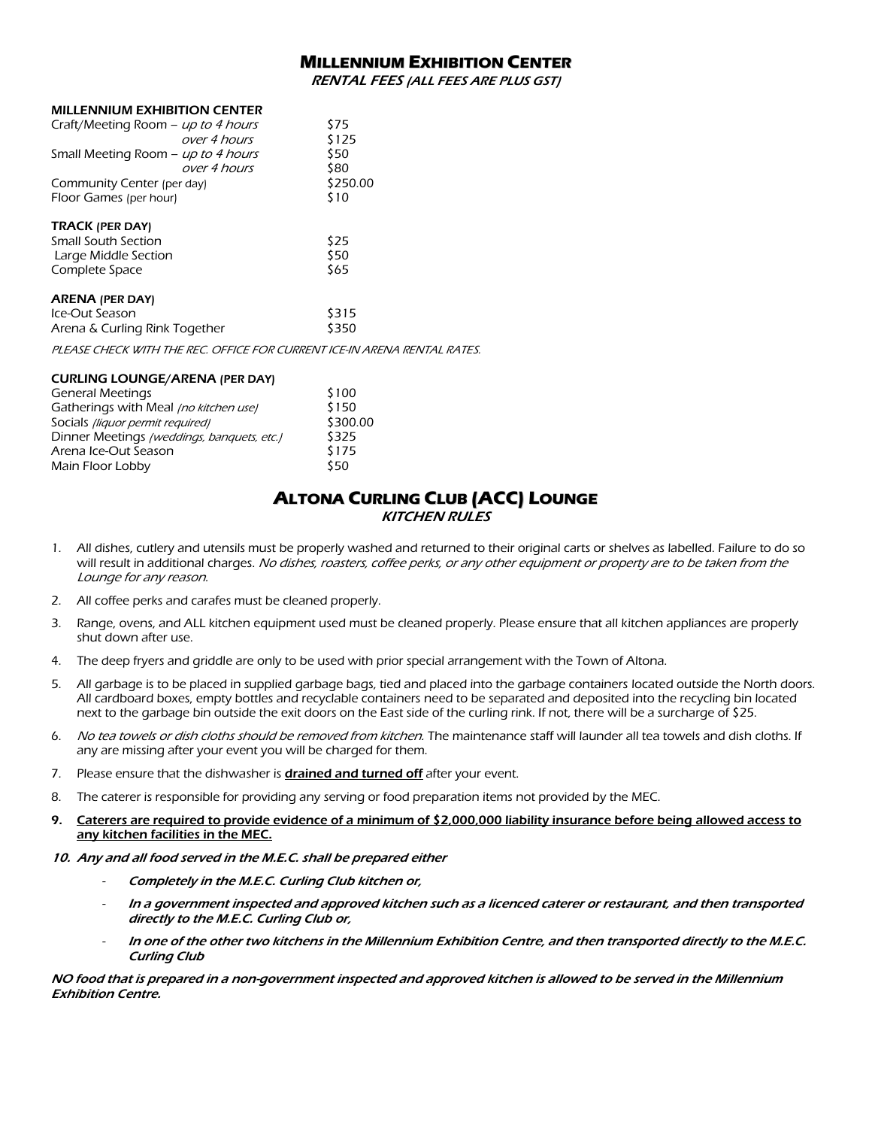# **MILLENNIUM EXHIBITION CENTER**

RENTAL FEES (ALL FEES ARE PLUS GST)

#### MILLENNIUM EXHIBITION CENTER

| Craft/Meeting Room - up to 4 hours<br>over 4 hours | \$75<br>\$125 |
|----------------------------------------------------|---------------|
| Small Meeting Room - up to 4 hours<br>over 4 hours | \$50<br>\$80  |
| Community Center (per day)                         | \$250.00      |
| Floor Games (per hour)                             | \$10          |
| <b>TRACK (PER DAY)</b>                             |               |
| Small South Section                                | \$25          |
| Large Middle Section                               | \$50          |
| Complete Space                                     | \$65          |
| <b>ARENA (PER DAY)</b>                             |               |
| Ice-Out Season                                     | \$315         |
| Arena & Curling Rink Together                      | \$350         |

PLEASE CHECK WITH THE REC. OFFICE FOR CURRENT ICE-IN ARENA RENTAL RATES.

### CURLING LOUNGE/ARENA (PER DAY) General Meetings **\$100**

| Gatherings with Meal (no kitchen use)      | \$150    |
|--------------------------------------------|----------|
| Socials (liquor permit required)           | \$300.00 |
| Dinner Meetings (weddings, banquets, etc.) | \$325    |
| Arena Ice-Out Season                       | \$175    |
| Main Floor Lobby                           | \$50     |

# **ALTONA CURLING CLUB (ACC) LOUNGE** KITCHEN RULES

- 1. All dishes, cutlery and utensils must be properly washed and returned to their original carts or shelves as labelled. Failure to do so will result in additional charges. No dishes, roasters, coffee perks, or any other equipment or property are to be taken from the Lounge for any reason.
- 2. All coffee perks and carafes must be cleaned properly.
- 3. Range, ovens, and ALL kitchen equipment used must be cleaned properly. Please ensure that all kitchen appliances are properly shut down after use.
- 4. The deep fryers and griddle are only to be used with prior special arrangement with the Town of Altona.
- 5. All garbage is to be placed in supplied garbage bags, tied and placed into the garbage containers located outside the North doors. All cardboard boxes, empty bottles and recyclable containers need to be separated and deposited into the recycling bin located next to the garbage bin outside the exit doors on the East side of the curling rink. If not, there will be a surcharge of \$25.
- 6. No tea towels or dish cloths should be removed from kitchen. The maintenance staff will launder all tea towels and dish cloths. If any are missing after your event you will be charged for them.
- 7. Please ensure that the dishwasher is **drained and turned off** after your event.
- 8. The caterer is responsible for providing any serving or food preparation items not provided by the MEC.
- 9. Caterers are required to provide evidence of a minimum of \$2,000,000 liability insurance before being allowed access to any kitchen facilities in the MEC.
- 10. Any and all food served in the M.E.C. shall be prepared either
	- Completely in the M.E.C. Curling Club kitchen or,
	- In a government inspected and approved kitchen such as a licenced caterer or restaurant, and then transported directly to the M.E.C. Curling Club or,
	- In one of the other two kitchens in the Millennium Exhibition Centre, and then transported directly to the M.E.C. Curling Club

NO food that is prepared in a non-government inspected and approved kitchen is allowed to be served in the Millennium Exhibition Centre.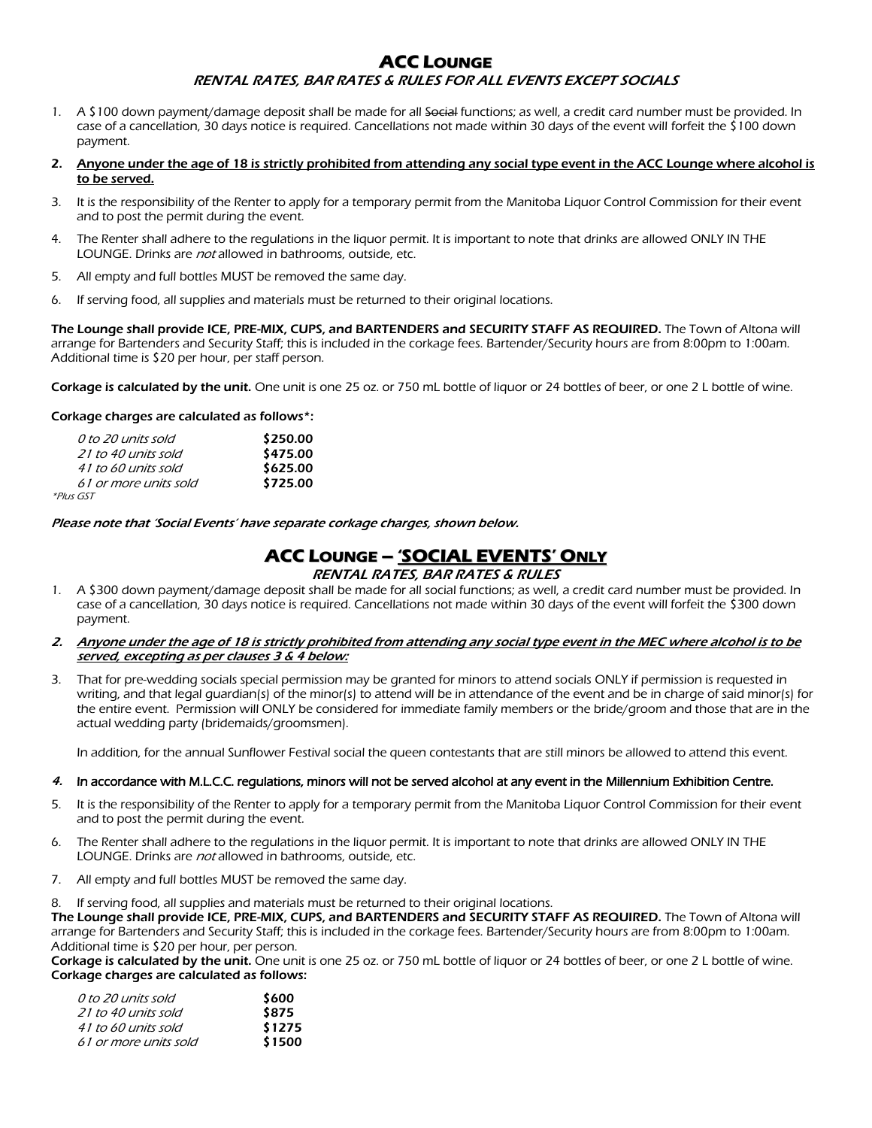# **ACC LOUNGE** RENTAL RATES, BAR RATES & RULES FOR ALL EVENTS EXCEPT SOCIALS

- 1. A \$100 down payment/damage deposit shall be made for all  $\overline{3}$  functions; as well, a credit card number must be provided. In case of a cancellation, 30 days notice is required. Cancellations not made within 30 days of the event will forfeit the \$100 down payment.
- 2. Anyone under the age of 18 is strictly prohibited from attending any social type event in the ACC Lounge where alcohol is to be served.
- 3. It is the responsibility of the Renter to apply for a temporary permit from the Manitoba Liquor Control Commission for their event and to post the permit during the event.
- 4. The Renter shall adhere to the regulations in the liquor permit. It is important to note that drinks are allowed ONLY IN THE LOUNGE. Drinks are not allowed in bathrooms, outside, etc.
- 5. All empty and full bottles MUST be removed the same day.
- 6. If serving food, all supplies and materials must be returned to their original locations.

The Lounge shall provide ICE, PRE-MIX, CUPS, and BARTENDERS and SECURITY STAFF AS REQUIRED. The Town of Altona will arrange for Bartenders and Security Staff; this is included in the corkage fees. Bartender/Security hours are from 8:00pm to 1:00am. Additional time is \$20 per hour, per staff person.

Corkage is calculated by the unit. One unit is one 25 oz. or 750 mL bottle of liquor or 24 bottles of beer, or one 2 L bottle of wine.

### Corkage charges are calculated as follows\*:

| 0 to 20 units sold    | \$250.00 |
|-----------------------|----------|
| 21 to 40 units sold   | \$475.00 |
| 41 to 60 units sold   | \$625.00 |
| 61 or more units sold | \$725.00 |
| *Plus GST             |          |

Please note that 'Social Events' have separate corkage charges, shown below.

# **ACC LOUNGE – 'SOCIAL EVENTS' ONLY**

### RENTAL RATES, BAR RATES & RULES

- 1. A \$300 down payment/damage deposit shall be made for all social functions; as well, a credit card number must be provided. In case of a cancellation, 30 days notice is required. Cancellations not made within 30 days of the event will forfeit the \$300 down payment.
- Anyone under the age of 18 is strictly prohibited from attending any social type event in the MEC where alcohol is to be served, excepting as per clauses 3 & 4 below:
- 3. That for pre-wedding socials special permission may be granted for minors to attend socials ONLY if permission is requested in writing, and that legal guardian(s) of the minor(s) to attend will be in attendance of the event and be in charge of said minor(s) for the entire event. Permission will ONLY be considered for immediate family members or the bride/groom and those that are in the actual wedding party (bridemaids/groomsmen).

In addition, for the annual Sunflower Festival social the queen contestants that are still minors be allowed to attend this event.

### 4. In accordance with M.L.C.C. requlations, minors will not be served alcohol at any event in the Millennium Exhibition Centre.

- 5. It is the responsibility of the Renter to apply for a temporary permit from the Manitoba Liquor Control Commission for their event and to post the permit during the event.
- 6. The Renter shall adhere to the regulations in the liquor permit. It is important to note that drinks are allowed ONLY IN THE LOUNGE. Drinks are not allowed in bathrooms, outside, etc.
- 7. All empty and full bottles MUST be removed the same day.
- 8. If serving food, all supplies and materials must be returned to their original locations.

The Lounge shall provide ICE, PRE-MIX, CUPS, and BARTENDERS and SECURITY STAFF AS REQUIRED. The Town of Altona will arrange for Bartenders and Security Staff; this is included in the corkage fees. Bartender/Security hours are from 8:00pm to 1:00am. Additional time is \$20 per hour, per person.

Corkage is calculated by the unit. One unit is one 25 oz. or 750 mL bottle of liquor or 24 bottles of beer, or one 2 L bottle of wine. Corkage charges are calculated as follows:

| 0 to 20 units sold    | \$600  |
|-----------------------|--------|
| 21 to 40 units sold   | \$875  |
| 41 to 60 units sold   | \$1275 |
| 61 or more units sold | \$1500 |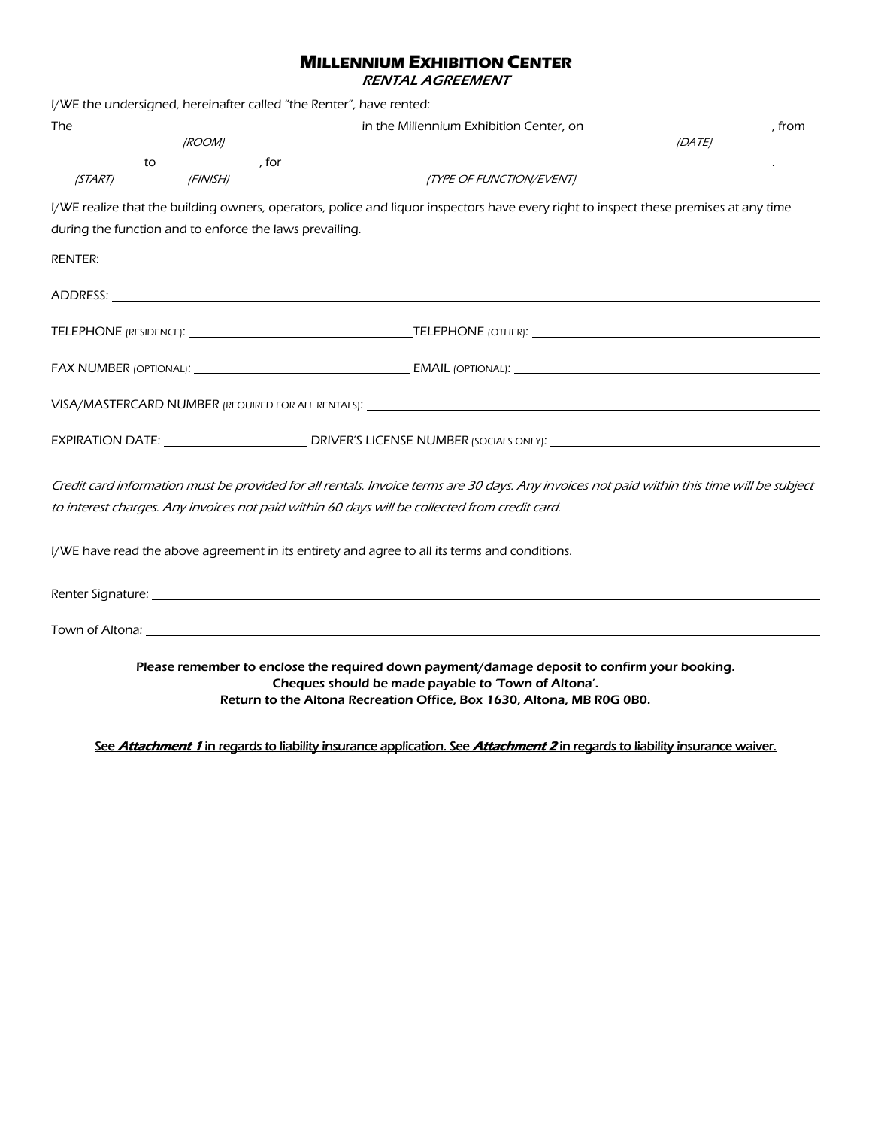# **MILLENNIUM EXHIBITION CENTER**

RENTAL AGREEMENT

|                                                         |                      | I/WE the undersigned, hereinafter called "the Renter", have rented:                                                                                                                                                                |        |  |
|---------------------------------------------------------|----------------------|------------------------------------------------------------------------------------------------------------------------------------------------------------------------------------------------------------------------------------|--------|--|
|                                                         |                      |                                                                                                                                                                                                                                    |        |  |
|                                                         | <i><b>IROOMI</b></i> |                                                                                                                                                                                                                                    | (DATE) |  |
|                                                         |                      | $\frac{1}{\sqrt{START}}$ to $\frac{1}{\sqrt{F(N/2)}$ , for $\frac{1}{\sqrt{TPEOF} \times (T/2)}$                                                                                                                                   |        |  |
|                                                         | (FINISH)             |                                                                                                                                                                                                                                    |        |  |
|                                                         |                      | I/WE realize that the building owners, operators, police and liquor inspectors have every right to inspect these premises at any time                                                                                              |        |  |
| during the function and to enforce the laws prevailing. |                      |                                                                                                                                                                                                                                    |        |  |
|                                                         |                      | <b>RENTER: CONTRACTE AND PROPERTY AND RESIDENT AND RESIDENT AND RESIDENT AND RESIDENT AND RESIDENT AND RESIDENT AND RESIDENT AND RESIDENT AND RESIDENT AND RESIDENT AND RESIDENT AND RESIDENT AND RESIDENT AND RESIDENT AND RE</b> |        |  |
|                                                         |                      |                                                                                                                                                                                                                                    |        |  |
|                                                         |                      |                                                                                                                                                                                                                                    |        |  |
|                                                         |                      |                                                                                                                                                                                                                                    |        |  |
|                                                         |                      |                                                                                                                                                                                                                                    |        |  |
|                                                         |                      |                                                                                                                                                                                                                                    |        |  |
|                                                         |                      | Credit card information must be provided for all rentals. Invoice terms are 30 days. Any invoices not paid within this time will be subject                                                                                        |        |  |
|                                                         |                      | to interest charges. Any invoices not paid within 60 days will be collected from credit card.                                                                                                                                      |        |  |
|                                                         |                      | I/WE have read the above agreement in its entirety and agree to all its terms and conditions.                                                                                                                                      |        |  |
|                                                         |                      | Renter Signature: The contract of the contract of the contract of the contract of the contract of the contract of the contract of the contract of the contract of the contract of the contract of the contract of the contract     |        |  |
|                                                         |                      |                                                                                                                                                                                                                                    |        |  |
|                                                         |                      | Please remember to enclose the required down payment/damage deposit to confirm your booking.<br>Cheques should be made payable to 'Town of Altona'.<br>Return to the Altona Recreation Office, Box 1630, Altona, MB R0G 0B0.       |        |  |

See Attachment 1 in regards to liability insurance application. See Attachment 2 in regards to liability insurance waiver.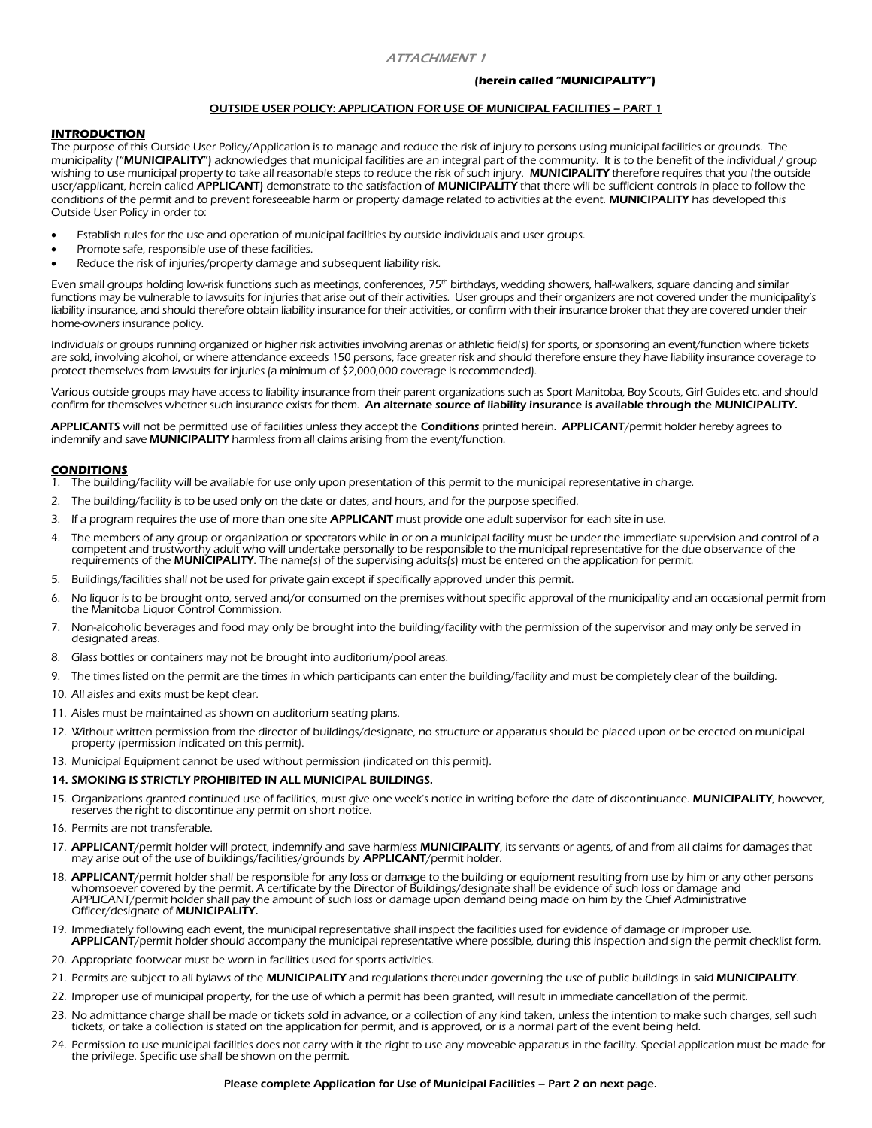#### ATTACHMENT 1

#### **(herein called "MUNICIPALITY")**

#### OUTSIDE USER POLICY: APPLICATION FOR USE OF MUNICIPAL FACILITIES – PART 1

#### **INTRODUCTION**

The purpose of this Outside User Policy/Application is to manage and reduce the risk of injury to persons using municipal facilities or grounds. The municipality ("MUNICIPALITY") acknowledges that municipal facilities are an integral part of the community. It is to the benefit of the individual / group wishing to use municipal property to take all reasonable steps to reduce the risk of such injury. MUNICIPALITY therefore requires that you (the outside user/applicant, herein called APPLICANT) demonstrate to the satisfaction of MUNICIPALITY that there will be sufficient controls in place to follow the conditions of the permit and to prevent foreseeable harm or property damage related to activities at the event. MUNICIPALITY has developed this Outside User Policy in order to:

- Establish rules for the use and operation of municipal facilities by outside individuals and user groups.
- Promote safe, responsible use of these facilities.
- Reduce the risk of injuries/property damage and subsequent liability risk.

Even small groups holding low-risk functions such as meetings, conferences, 75<sup>th</sup> birthdays, wedding showers, hall-walkers, square dancing and similar functions may be vulnerable to lawsuits for injuries that arise out of their activities. User groups and their organizers are not covered under the municipality's liability insurance, and should therefore obtain liability insurance for their activities, or confirm with their insurance broker that they are covered under their home-owners insurance policy.

Individuals or groups running organized or higher risk activities involving arenas or athletic field(s) for sports, or sponsoring an event/function where tickets are sold, involving alcohol, or where attendance exceeds 150 persons, face greater risk and should therefore ensure they have liability insurance coverage to protect themselves from lawsuits for injuries (a minimum of \$2,000,000 coverage is recommended).

Various outside groups may have access to liability insurance from their parent organizations such as Sport Manitoba, Boy Scouts, Girl Guides etc. and should confirm for themselves whether such insurance exists for them. An alternate source of liability insurance is available through the MUNICIPALITY.

APPLICANTS will not be permitted use of facilities unless they accept the Conditions printed herein. APPLICANT/permit holder hereby agrees to indemnify and save **MUNICIPALITY** harmless from all claims arising from the event/function.

#### **CONDITIONS**

- 1. The building/facility will be available for use only upon presentation of this permit to the municipal representative in charge.
- 2. The building/facility is to be used only on the date or dates, and hours, and for the purpose specified.
- 3. If a program requires the use of more than one site **APPLICANT** must provide one adult supervisor for each site in use.
- 4. The members of any group or organization or spectators while in or on a municipal facility must be under the immediate supervision and control of a competent and trustworthy adult who will undertake personally to be responsible to the municipal representative for the due observance of the requirements of the **MUNICIPALITY**. The name(s) of the supervising adults(s) must be entered on the application for permit.
- 5. Buildings/facilities shall not be used for private gain except if specifically approved under this permit.
- 6. No liquor is to be brought onto, served and/or consumed on the premises without specific approval of the municipality and an occasional permit from the Manitoba Liquor Control Commission.
- 7. Non-alcoholic beverages and food may only be brought into the building/facility with the permission of the supervisor and may only be served in designated areas.
- 8. Glass bottles or containers may not be brought into auditorium/pool areas.
- 9. The times listed on the permit are the times in which participants can enter the building/facility and must be completely clear of the building.
- 10. All aisles and exits must be kept clear.
- 11. Aisles must be maintained as shown on auditorium seating plans.
- 12. Without written permission from the director of buildings/designate, no structure or apparatus should be placed upon or be erected on municipal property (permission indicated on this permit).
- 13. Municipal Equipment cannot be used without permission (indicated on this permit).

#### 14. SMOKING IS STRICTLY PROHIBITED IN ALL MUNICIPAL BUILDINGS.

- 15. Organizations granted continued use of facilities, must give one week's notice in writing before the date of discontinuance. MUNICIPALITY, however, reserves the right to discontinue any permit on short notice.
- 16. Permits are not transferable.
- 17. APPLICANT/permit holder will protect, indemnify and save harmless MUNICIPALITY, its servants or agents, of and from all claims for damages that may arise out of the use of buildings/facilities/grounds by APPLICANT/perm
- 18. APPLICANT/permit holder shall be responsible for any loss or damage to the building or equipment resulting from use by him or any other persons whomsoever covered by the permit. A certificate by the Director of Buildin APPLICANT/permit holder shall pay the amount of such loss or damage upon demand being made on him by the Chief Administrative Officer/designate of MUNICIPALITY.
- 19. Immediately following each event, the municipal representative shall inspect the facilities used for evidence of damage or improper use. APPLICANT/permit holder should accompany the municipal representative where possible, during this inspection and sign the permit checklist form.
- 20. Appropriate footwear must be worn in facilities used for sports activities.
- 21. Permits are subject to all bylaws of the MUNICIPALITY and regulations thereunder governing the use of public buildings in said MUNICIPALITY.
- 22. Improper use of municipal property, for the use of which a permit has been granted, will result in immediate cancellation of the permit.
- 23. No admittance charge shall be made or tickets sold in advance, or a collection of any kind taken, unless the intention to make such charges, sell such tickets, or take a collection is stated on the application for permit, and is approved, or is a normal part of the event being held.
- 24. Permission to use municipal facilities does not carry with it the right to use any moveable apparatus in the facility. Special application must be made for the privilege. Specific use shall be shown on the permit.

#### Please complete Application for Use of Municipal Facilities – Part 2 on next page.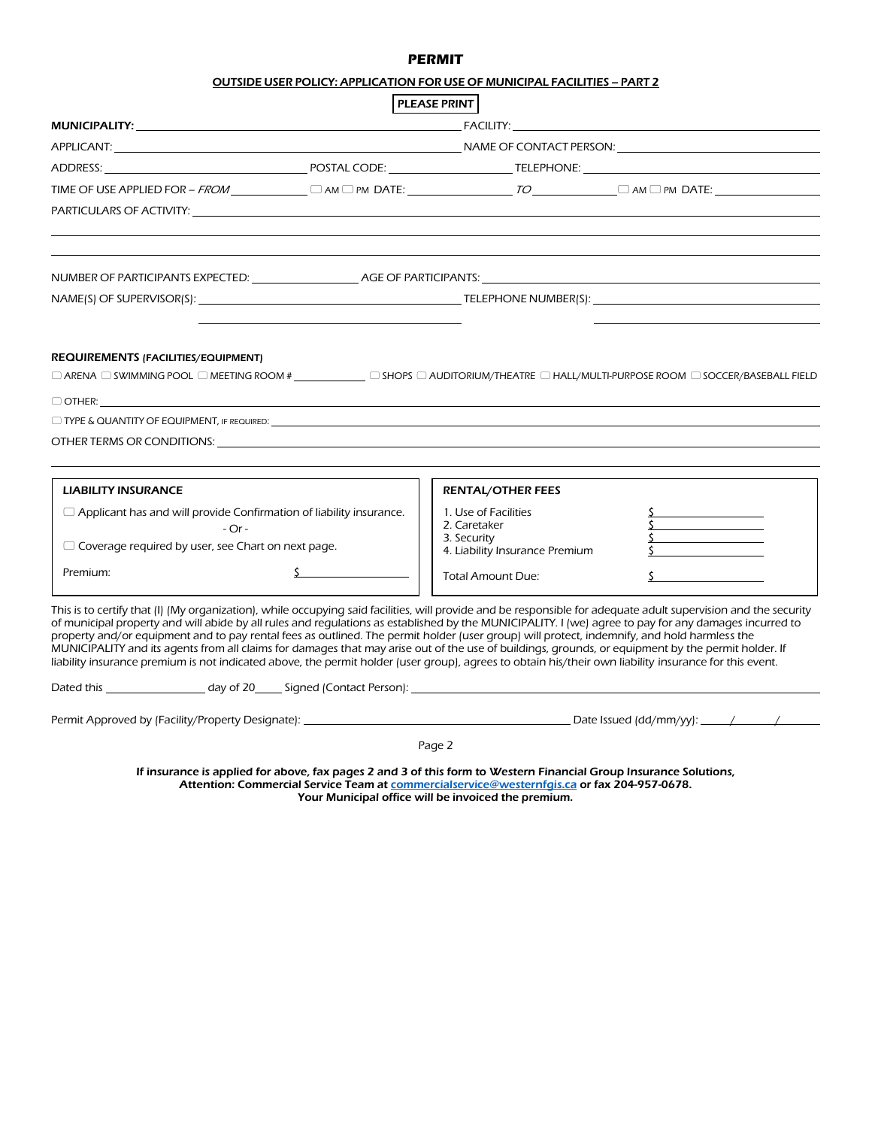## **PERMIT**

|                                                                                                                                                                                                                                                                                                                          | <b>PLEASE PRINT</b>                                                                                                                                                                                              |  |  |
|--------------------------------------------------------------------------------------------------------------------------------------------------------------------------------------------------------------------------------------------------------------------------------------------------------------------------|------------------------------------------------------------------------------------------------------------------------------------------------------------------------------------------------------------------|--|--|
| MUNICIPALITY: <b>Andrew Structure Control</b>                                                                                                                                                                                                                                                                            | <b>FACILITY:</b>                                                                                                                                                                                                 |  |  |
|                                                                                                                                                                                                                                                                                                                          |                                                                                                                                                                                                                  |  |  |
|                                                                                                                                                                                                                                                                                                                          |                                                                                                                                                                                                                  |  |  |
|                                                                                                                                                                                                                                                                                                                          |                                                                                                                                                                                                                  |  |  |
|                                                                                                                                                                                                                                                                                                                          |                                                                                                                                                                                                                  |  |  |
|                                                                                                                                                                                                                                                                                                                          |                                                                                                                                                                                                                  |  |  |
|                                                                                                                                                                                                                                                                                                                          |                                                                                                                                                                                                                  |  |  |
|                                                                                                                                                                                                                                                                                                                          |                                                                                                                                                                                                                  |  |  |
|                                                                                                                                                                                                                                                                                                                          |                                                                                                                                                                                                                  |  |  |
|                                                                                                                                                                                                                                                                                                                          |                                                                                                                                                                                                                  |  |  |
| REQUIREMENTS (FACILITIES/EQUIPMENT)                                                                                                                                                                                                                                                                                      |                                                                                                                                                                                                                  |  |  |
|                                                                                                                                                                                                                                                                                                                          |                                                                                                                                                                                                                  |  |  |
| $\Box$ TYPE & QUANTITY OF EQUIPMENT, IF REQUIRED:                                                                                                                                                                                                                                                                        |                                                                                                                                                                                                                  |  |  |
|                                                                                                                                                                                                                                                                                                                          |                                                                                                                                                                                                                  |  |  |
|                                                                                                                                                                                                                                                                                                                          |                                                                                                                                                                                                                  |  |  |
| <b>LIABILITY INSURANCE</b>                                                                                                                                                                                                                                                                                               | <b>RENTAL/OTHER FEES</b>                                                                                                                                                                                         |  |  |
| $\Box$ Applicant has and will provide Confirmation of liability insurance.                                                                                                                                                                                                                                               | 1. Use of Facilities                                                                                                                                                                                             |  |  |
| $-Or-$                                                                                                                                                                                                                                                                                                                   | 2. Caretaker<br>3. Security                                                                                                                                                                                      |  |  |
| $\Box$ Coverage required by user, see Chart on next page.                                                                                                                                                                                                                                                                | 4. Liability Insurance Premium                                                                                                                                                                                   |  |  |
| Premium:                                                                                                                                                                                                                                                                                                                 | <b>Total Amount Due:</b>                                                                                                                                                                                         |  |  |
|                                                                                                                                                                                                                                                                                                                          |                                                                                                                                                                                                                  |  |  |
| This is to certify that (I) (My organization), while occupying said facilities, will provide and be responsible for adequate adult supervision and the security<br>of municipal property and will abide by all rules and regulations as established by the MUNICIPALITY. I (we) agree to pay for any damages incurred to |                                                                                                                                                                                                                  |  |  |
| property and/or equipment and to pay rental fees as outlined. The permit holder (user group) will protect, indemnify, and hold harmless the                                                                                                                                                                              |                                                                                                                                                                                                                  |  |  |
| MUNICIPALITY and its agents from all claims for damages that may arise out of the use of buildings, grounds, or equipment by the permit holder. If<br>liability insurance premium is not indicated above, the permit holder (user group), agrees to obtain his/their own liability insurance for this event.             |                                                                                                                                                                                                                  |  |  |
|                                                                                                                                                                                                                                                                                                                          |                                                                                                                                                                                                                  |  |  |
| Permit Approved by (Facility/Property Designate): Notified the state of the state of the Date Issued (dd/mm/yy): Notified the state of the state of the state of the state of the state of the state of the state of the state                                                                                           |                                                                                                                                                                                                                  |  |  |
|                                                                                                                                                                                                                                                                                                                          |                                                                                                                                                                                                                  |  |  |
|                                                                                                                                                                                                                                                                                                                          | Page 2                                                                                                                                                                                                           |  |  |
|                                                                                                                                                                                                                                                                                                                          | If insurance is applied for above, fax pages 2 and 3 of this form to Western Financial Group Insurance Solutions,<br>Attention: Commercial Service Team at commercialservice@westernfgis.ca or fax 204-957-0678. |  |  |
|                                                                                                                                                                                                                                                                                                                          | Your Municipal office will be invoiced the premium.                                                                                                                                                              |  |  |
|                                                                                                                                                                                                                                                                                                                          |                                                                                                                                                                                                                  |  |  |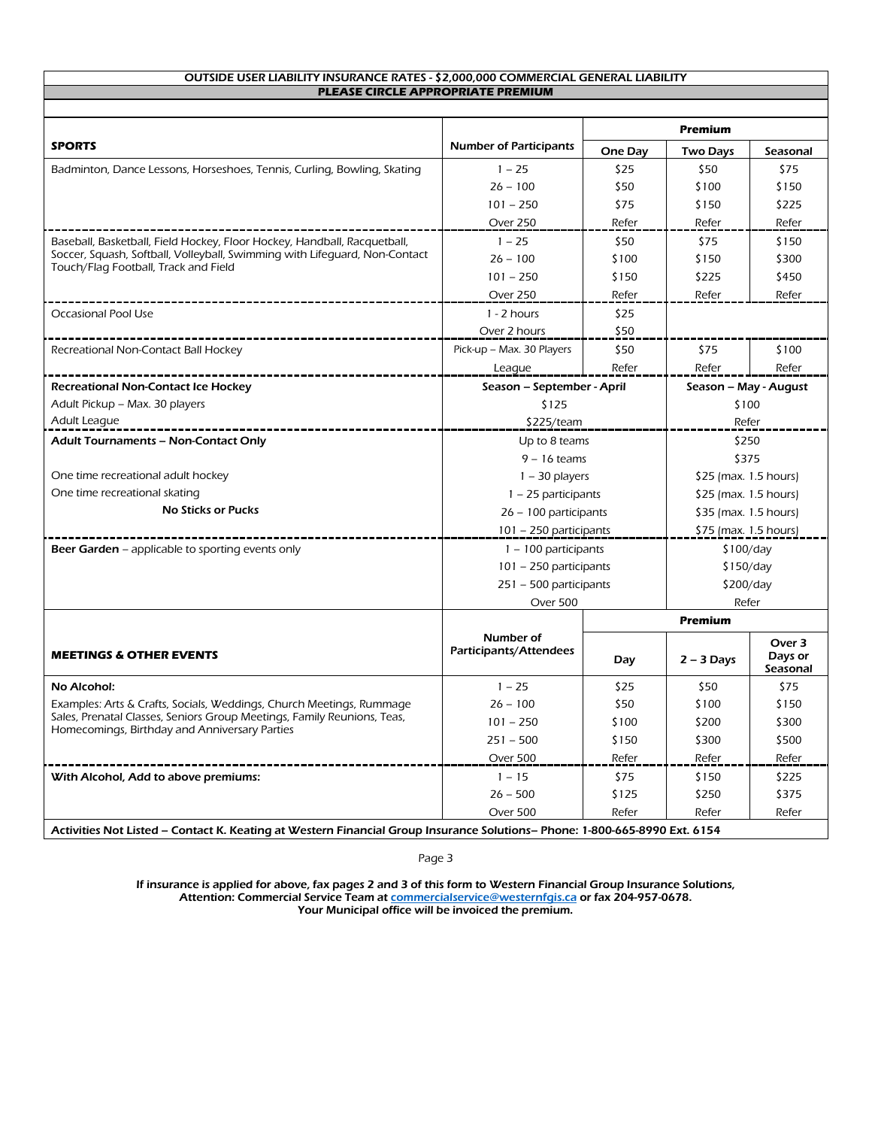#### OUTSIDE USER LIABILITY INSURANCE RATES - \$2,000,000 COMMERCIAL GENERAL LIABILITY **PLEASE CIRCLE APPROPRIATE PREMIUM**

|                                                                            |                                     | <b>Premium</b> |                        |                               |  |
|----------------------------------------------------------------------------|-------------------------------------|----------------|------------------------|-------------------------------|--|
| <b>SPORTS</b>                                                              | <b>Number of Participants</b>       | One Day        | <b>Two Days</b>        | Seasonal                      |  |
| Badminton, Dance Lessons, Horseshoes, Tennis, Curling, Bowling, Skating    | $1 - 25$                            | \$25           | \$50                   | \$75                          |  |
|                                                                            | $26 - 100$                          | \$50           | \$100                  | \$150                         |  |
|                                                                            | $101 - 250$                         | \$75           | \$150                  | \$225                         |  |
|                                                                            | Over 250                            | Refer          | Refer                  | Refer                         |  |
| Baseball, Basketball, Field Hockey, Floor Hockey, Handball, Racquetball,   | $1 - 25$                            | \$50           | \$75                   | \$150                         |  |
| Soccer, Squash, Softball, Volleyball, Swimming with Lifequard, Non-Contact | $26 - 100$                          | \$100          | \$150                  | \$300                         |  |
| Touch/Flag Football, Track and Field                                       | $101 - 250$                         | \$150          | \$225                  | \$450                         |  |
|                                                                            | Over 250                            | Refer          | Refer                  | Refer                         |  |
| Occasional Pool Use                                                        | $1 - 2$ hours                       | \$25           |                        |                               |  |
|                                                                            | Over 2 hours                        | \$50           |                        |                               |  |
| Recreational Non-Contact Ball Hockey                                       | Pick-up - Max. 30 Players           | \$50           | \$75                   | \$100                         |  |
|                                                                            | League                              | Refer          | Refer                  | Refer                         |  |
| <b>Recreational Non-Contact Ice Hockey</b>                                 | Season - September - April          |                | Season - May - August  |                               |  |
| Adult Pickup - Max. 30 players                                             | \$125                               |                | \$100                  |                               |  |
| Adult League                                                               | \$225/team                          |                | Refer                  |                               |  |
| <b>Adult Tournaments - Non-Contact Only</b>                                | Up to 8 teams                       |                | \$250                  |                               |  |
|                                                                            | $9 - 16$ teams                      |                | \$375                  |                               |  |
| One time recreational adult hockey                                         | $1 - 30$ players                    |                | $$25$ (max. 1.5 hours) |                               |  |
| One time recreational skating                                              | $1 - 25$ participants               |                | $$25$ (max. 1.5 hours) |                               |  |
| <b>No Sticks or Pucks</b>                                                  | 26 - 100 participants               |                | \$35 (max. 1.5 hours)  |                               |  |
|                                                                            | 101 - 250 participants              |                | \$75 (max. 1.5 hours)  |                               |  |
| <b>Beer Garden</b> – applicable to sporting events only                    | $1 - 100$ participants              |                | \$100/day              |                               |  |
|                                                                            | $101 - 250$ participants            |                | \$150/day              |                               |  |
|                                                                            | 251 - 500 participants              |                | \$200/day              |                               |  |
|                                                                            | Over 500                            |                |                        | Refer                         |  |
|                                                                            | Number of<br>Participants/Attendees | <b>Premium</b> |                        |                               |  |
| <b>MEETINGS &amp; OTHER EVENTS</b>                                         |                                     | Day            | $2 - 3$ Days           | Over 3<br>Days or<br>Seasonal |  |
| No Alcohol:                                                                | $1 - 25$                            | \$25           | \$50                   | \$75                          |  |
| Examples: Arts & Crafts, Socials, Weddings, Church Meetings, Rummage       | $26 - 100$                          | \$50           | \$100                  | \$150                         |  |
| Sales, Prenatal Classes, Seniors Group Meetings, Family Reunions, Teas,    | $101 - 250$                         | \$100          | \$200                  | \$300                         |  |
| Homecomings, Birthday and Anniversary Parties                              | $251 - 500$                         | \$150          | \$300                  | \$500                         |  |
|                                                                            | Over 500                            | Refer          | Refer                  | Refer                         |  |
| With Alcohol, Add to above premiums:                                       | $1 - 15$                            | \$75           | \$150                  | \$225                         |  |
|                                                                            | $26 - 500$                          | \$125          | \$250                  | \$375                         |  |
|                                                                            | Over 500                            | Refer          | Refer                  | Refer                         |  |

Page 3

If insurance is applied for above, fax pages 2 and 3 of this form to Western Financial Group Insurance Solutions, Attention: Commercial Service Team at <u>commercialservice@westernfgis.ca</u> or fax 204-957-0678. Your Municipal office will be invoiced the premium.